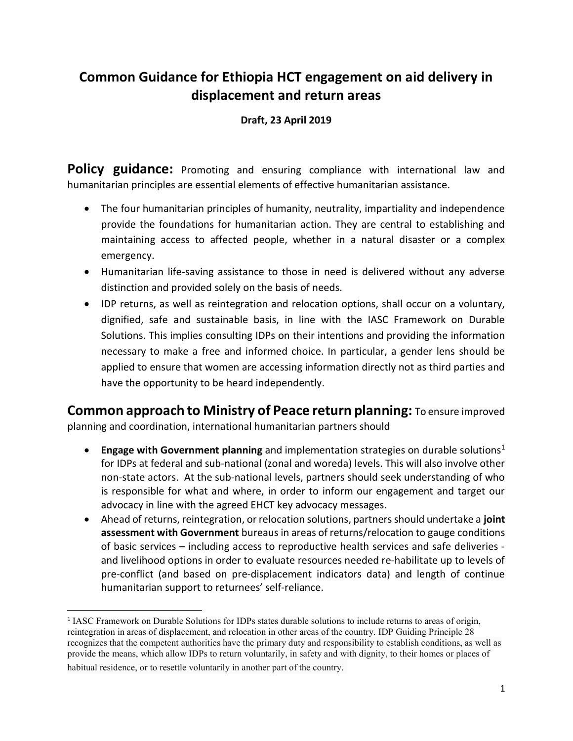## Common Guidance for Ethiopia HCT engagement on aid delivery in displacement and return areas

## Draft, 23 April 2019

Policy guidance: Promoting and ensuring compliance with international law and humanitarian principles are essential elements of effective humanitarian assistance.

- The four humanitarian principles of humanity, neutrality, impartiality and independence provide the foundations for humanitarian action. They are central to establishing and maintaining access to affected people, whether in a natural disaster or a complex emergency.
- Humanitarian life-saving assistance to those in need is delivered without any adverse distinction and provided solely on the basis of needs.
- IDP returns, as well as reintegration and relocation options, shall occur on a voluntary, dignified, safe and sustainable basis, in line with the IASC Framework on Durable Solutions. This implies consulting IDPs on their intentions and providing the information necessary to make a free and informed choice. In particular, a gender lens should be applied to ensure that women are accessing information directly not as third parties and have the opportunity to be heard independently.

Common approach to Ministry of Peace return planning: To ensure improved planning and coordination, international humanitarian partners should

- **Engage with Government planning** and implementation strategies on durable solutions<sup>1</sup> for IDPs at federal and sub-national (zonal and woreda) levels. This will also involve other non-state actors. At the sub-national levels, partners should seek understanding of who is responsible for what and where, in order to inform our engagement and target our advocacy in line with the agreed EHCT key advocacy messages.
- Ahead of returns, reintegration, or relocation solutions, partners should undertake a joint assessment with Government bureaus in areas of returns/relocation to gauge conditions of basic services – including access to reproductive health services and safe deliveries and livelihood options in order to evaluate resources needed re-habilitate up to levels of pre-conflict (and based on pre-displacement indicators data) and length of continue humanitarian support to returnees' self-reliance.

habitual residence, or to resettle voluntarily in another part of the country.

 $\overline{a}$ 

<sup>&</sup>lt;sup>1</sup> IASC Framework on Durable Solutions for IDPs states durable solutions to include returns to areas of origin, reintegration in areas of displacement, and relocation in other areas of the country. IDP Guiding Principle 28 recognizes that the competent authorities have the primary duty and responsibility to establish conditions, as well as provide the means, which allow IDPs to return voluntarily, in safety and with dignity, to their homes or places of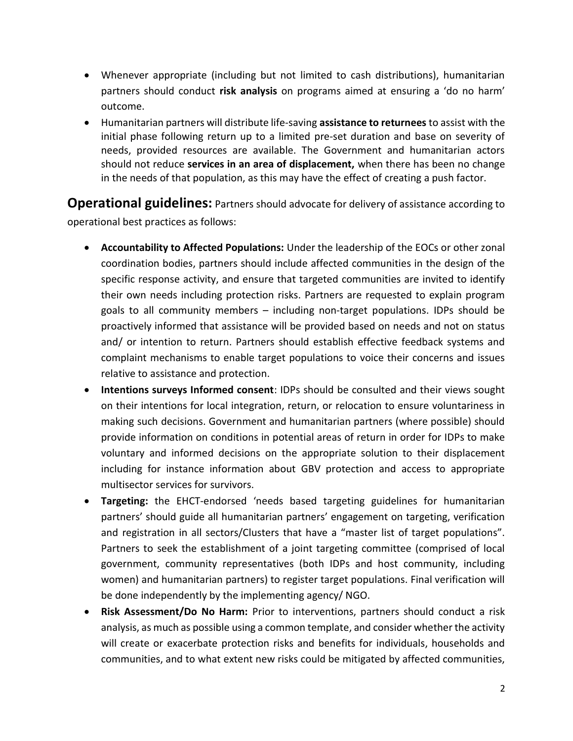- Whenever appropriate (including but not limited to cash distributions), humanitarian partners should conduct risk analysis on programs aimed at ensuring a 'do no harm' outcome.
- Humanitarian partners will distribute life-saving assistance to returnees to assist with the initial phase following return up to a limited pre-set duration and base on severity of needs, provided resources are available. The Government and humanitarian actors should not reduce services in an area of displacement, when there has been no change in the needs of that population, as this may have the effect of creating a push factor.

**Operational guidelines:** Partners should advocate for delivery of assistance according to operational best practices as follows:

- Accountability to Affected Populations: Under the leadership of the EOCs or other zonal coordination bodies, partners should include affected communities in the design of the specific response activity, and ensure that targeted communities are invited to identify their own needs including protection risks. Partners are requested to explain program goals to all community members – including non-target populations. IDPs should be proactively informed that assistance will be provided based on needs and not on status and/ or intention to return. Partners should establish effective feedback systems and complaint mechanisms to enable target populations to voice their concerns and issues relative to assistance and protection.
- Intentions surveys Informed consent: IDPs should be consulted and their views sought on their intentions for local integration, return, or relocation to ensure voluntariness in making such decisions. Government and humanitarian partners (where possible) should provide information on conditions in potential areas of return in order for IDPs to make voluntary and informed decisions on the appropriate solution to their displacement including for instance information about GBV protection and access to appropriate multisector services for survivors.
- Targeting: the EHCT-endorsed 'needs based targeting guidelines for humanitarian partners' should guide all humanitarian partners' engagement on targeting, verification and registration in all sectors/Clusters that have a "master list of target populations". Partners to seek the establishment of a joint targeting committee (comprised of local government, community representatives (both IDPs and host community, including women) and humanitarian partners) to register target populations. Final verification will be done independently by the implementing agency/ NGO.
- Risk Assessment/Do No Harm: Prior to interventions, partners should conduct a risk analysis, as much as possible using a common template, and consider whether the activity will create or exacerbate protection risks and benefits for individuals, households and communities, and to what extent new risks could be mitigated by affected communities,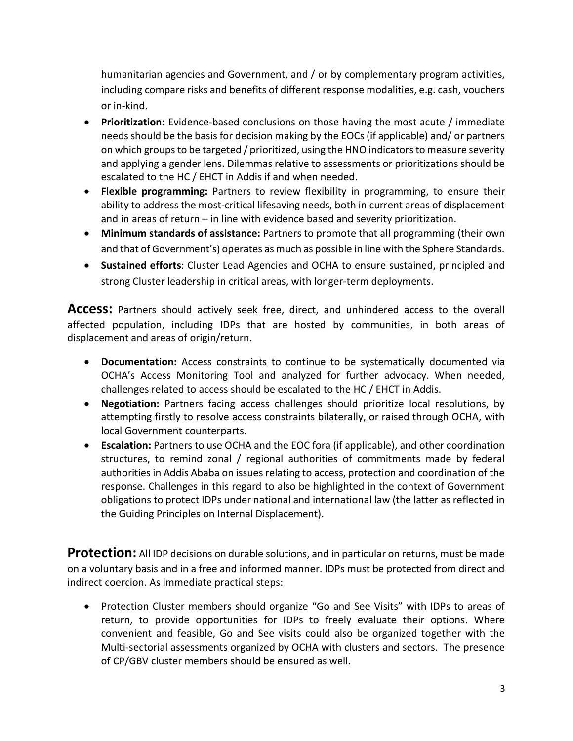humanitarian agencies and Government, and / or by complementary program activities, including compare risks and benefits of different response modalities, e.g. cash, vouchers or in-kind.

- Prioritization: Evidence-based conclusions on those having the most acute / immediate needs should be the basis for decision making by the EOCs (if applicable) and/ or partners on which groups to be targeted / prioritized, using the HNO indicators to measure severity and applying a gender lens. Dilemmas relative to assessments or prioritizations should be escalated to the HC / EHCT in Addis if and when needed.
- Flexible programming: Partners to review flexibility in programming, to ensure their ability to address the most-critical lifesaving needs, both in current areas of displacement and in areas of return – in line with evidence based and severity prioritization.
- Minimum standards of assistance: Partners to promote that all programming (their own and that of Government's) operates as much as possible in line with the Sphere Standards.
- Sustained efforts: Cluster Lead Agencies and OCHA to ensure sustained, principled and strong Cluster leadership in critical areas, with longer-term deployments.

**Access:** Partners should actively seek free, direct, and unhindered access to the overall affected population, including IDPs that are hosted by communities, in both areas of displacement and areas of origin/return.

- Documentation: Access constraints to continue to be systematically documented via OCHA's Access Monitoring Tool and analyzed for further advocacy. When needed, challenges related to access should be escalated to the HC / EHCT in Addis.
- Negotiation: Partners facing access challenges should prioritize local resolutions, by attempting firstly to resolve access constraints bilaterally, or raised through OCHA, with local Government counterparts.
- Escalation: Partners to use OCHA and the EOC fora (if applicable), and other coordination structures, to remind zonal / regional authorities of commitments made by federal authorities in Addis Ababa on issues relating to access, protection and coordination of the response. Challenges in this regard to also be highlighted in the context of Government obligations to protect IDPs under national and international law (the latter as reflected in the Guiding Principles on Internal Displacement).

**Protection:** All IDP decisions on durable solutions, and in particular on returns, must be made on a voluntary basis and in a free and informed manner. IDPs must be protected from direct and indirect coercion. As immediate practical steps:

• Protection Cluster members should organize "Go and See Visits" with IDPs to areas of return, to provide opportunities for IDPs to freely evaluate their options. Where convenient and feasible, Go and See visits could also be organized together with the Multi-sectorial assessments organized by OCHA with clusters and sectors. The presence of CP/GBV cluster members should be ensured as well.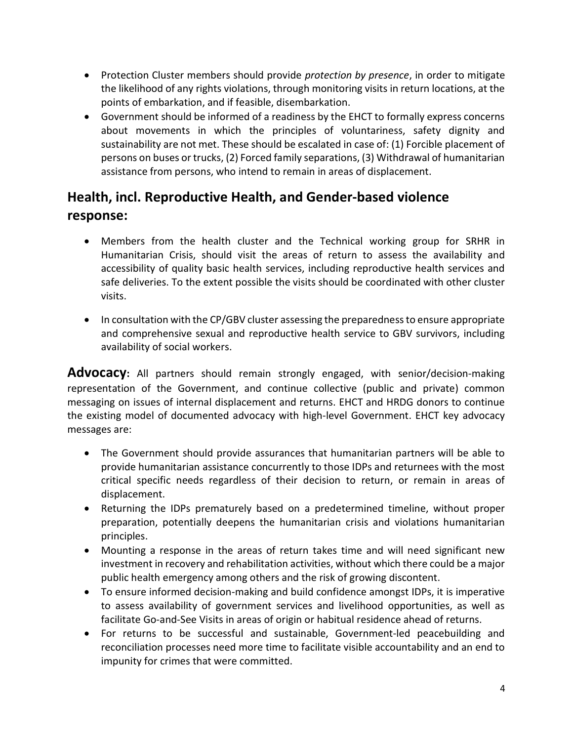- Protection Cluster members should provide *protection by presence*, in order to mitigate the likelihood of any rights violations, through monitoring visits in return locations, at the points of embarkation, and if feasible, disembarkation.
- Government should be informed of a readiness by the EHCT to formally express concerns about movements in which the principles of voluntariness, safety dignity and sustainability are not met. These should be escalated in case of: (1) Forcible placement of persons on buses or trucks, (2) Forced family separations, (3) Withdrawal of humanitarian assistance from persons, who intend to remain in areas of displacement.

## Health, incl. Reproductive Health, and Gender-based violence response:

- Members from the health cluster and the Technical working group for SRHR in Humanitarian Crisis, should visit the areas of return to assess the availability and accessibility of quality basic health services, including reproductive health services and safe deliveries. To the extent possible the visits should be coordinated with other cluster visits.
- In consultation with the CP/GBV cluster assessing the preparedness to ensure appropriate and comprehensive sexual and reproductive health service to GBV survivors, including availability of social workers.

Advocacy: All partners should remain strongly engaged, with senior/decision-making representation of the Government, and continue collective (public and private) common messaging on issues of internal displacement and returns. EHCT and HRDG donors to continue the existing model of documented advocacy with high-level Government. EHCT key advocacy messages are:

- The Government should provide assurances that humanitarian partners will be able to provide humanitarian assistance concurrently to those IDPs and returnees with the most critical specific needs regardless of their decision to return, or remain in areas of displacement.
- Returning the IDPs prematurely based on a predetermined timeline, without proper preparation, potentially deepens the humanitarian crisis and violations humanitarian principles.
- Mounting a response in the areas of return takes time and will need significant new investment in recovery and rehabilitation activities, without which there could be a major public health emergency among others and the risk of growing discontent.
- To ensure informed decision-making and build confidence amongst IDPs, it is imperative to assess availability of government services and livelihood opportunities, as well as facilitate Go-and-See Visits in areas of origin or habitual residence ahead of returns.
- For returns to be successful and sustainable, Government-led peacebuilding and reconciliation processes need more time to facilitate visible accountability and an end to impunity for crimes that were committed.